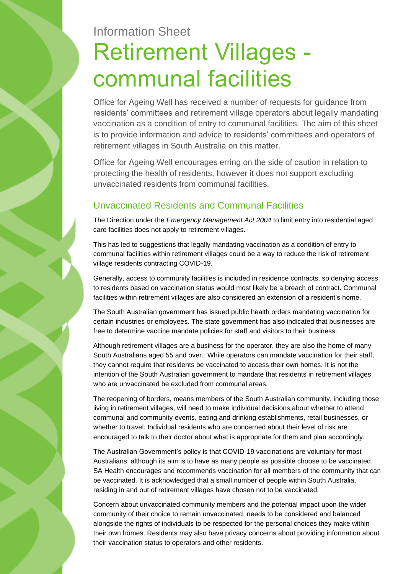# Information Sheet Retirement Villages communal facilities

Office for Ageing Well has received a number of requests for guidance from residents' committees and retirement village operators about legally mandating vaccination as a condition of entry to communal facilities. The aim of this sheet is to provide information and advice to residents' committees and operators of retirement villages in South Australia on this matter.

Office for Ageing Well encourages erring on the side of caution in relation to protecting the health of residents, however it does not support excluding unvaccinated residents from communal facilities.

## Unvaccinated Residents and Communal Facilities

The Direction under the *Emergency Management Act 2004* to limit entry into residential aged care facilities does not apply to retirement villages.

This has led to suggestions that legally mandating vaccination as a condition of entry to communal facilities within retirement villages could be a way to reduce the risk of retirement village residents contracting COVID-19.

Generally, access to community facilities is included in residence contracts, so denying access to residents based on vaccination status would most likely be a breach of contract. Communal facilities within retirement villages are also considered an extension of a resident's home.

The South Australian government has issued public health orders mandating vaccination for certain industries or employees. The state government has also indicated that businesses are free to determine vaccine mandate policies for staff and visitors to their business.

Although retirement villages are a business for the operator, they are also the home of many South Australians aged 55 and over. While operators can mandate vaccination for their staff, they cannot require that residents be vaccinated to access their own homes. It is not the intention of the South Australian government to mandate that residents in retirement villages who are unvaccinated be excluded from communal areas.

The reopening of borders, means members of the South Australian community, including those living in retirement villages, will need to make individual decisions about whether to attend communal and community events, eating and drinking establishments, retail businesses, or whether to travel. Individual residents who are concerned about their level of risk are encouraged to talk to their doctor about what is appropriate for them and plan accordingly.

The Australian Government's policy is that COVID-19 vaccinations are voluntary for most Australians, although its aim is to have as many people as possible choose to be vaccinated. SA Health encourages and recommends vaccination for all members of the community that can be vaccinated. It is acknowledged that a small number of people within South Australia, residing in and out of retirement villages have chosen not to be vaccinated.

Concern about unvaccinated community members and the potential impact upon the wider community of their choice to remain unvaccinated, needs to be considered and balanced alongside the rights of individuals to be respected for the personal choices they make within their own homes. Residents may also have privacy concerns about providing information about their vaccination status to operators and other residents.